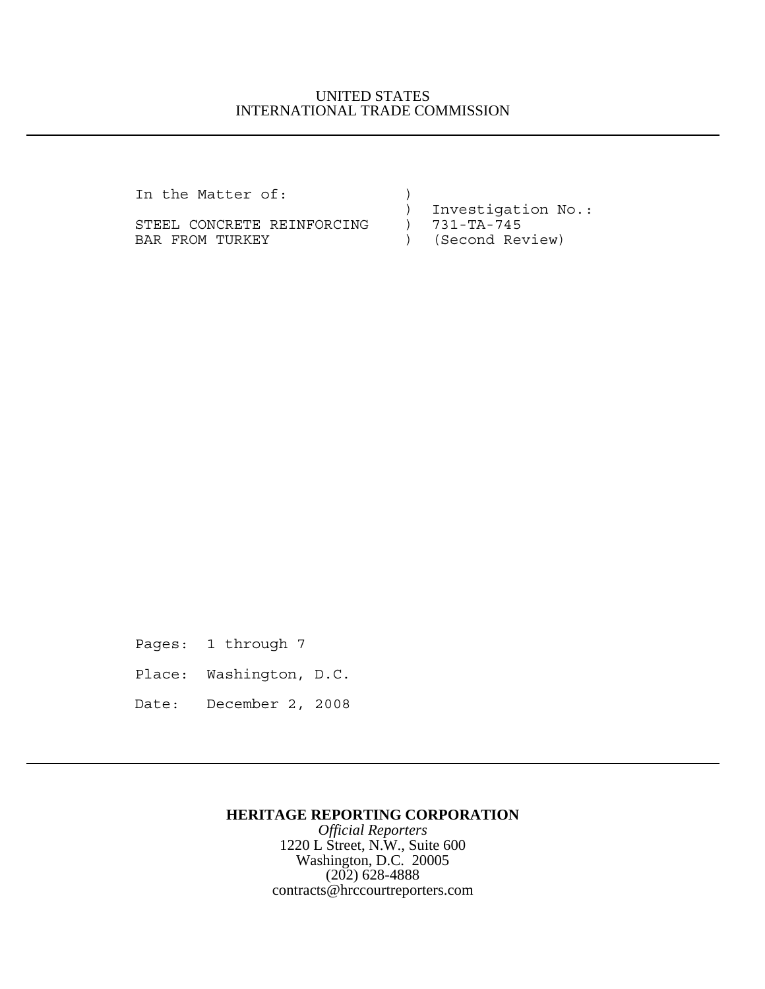## UNITED STATES INTERNATIONAL TRADE COMMISSION

In the Matter of:  $)$ 

STEEL CONCRETE REINFORCING ) 731-TA-745 BAR FROM TURKEY (Second Review)

) Investigation No.:

Pages: 1 through 7

Place: Washington, D.C.

Date: December 2, 2008

## **HERITAGE REPORTING CORPORATION**

*Official Reporters* 1220 L Street, N.W., Suite 600 Washington, D.C. 20005 (202) 628-4888 contracts@hrccourtreporters.com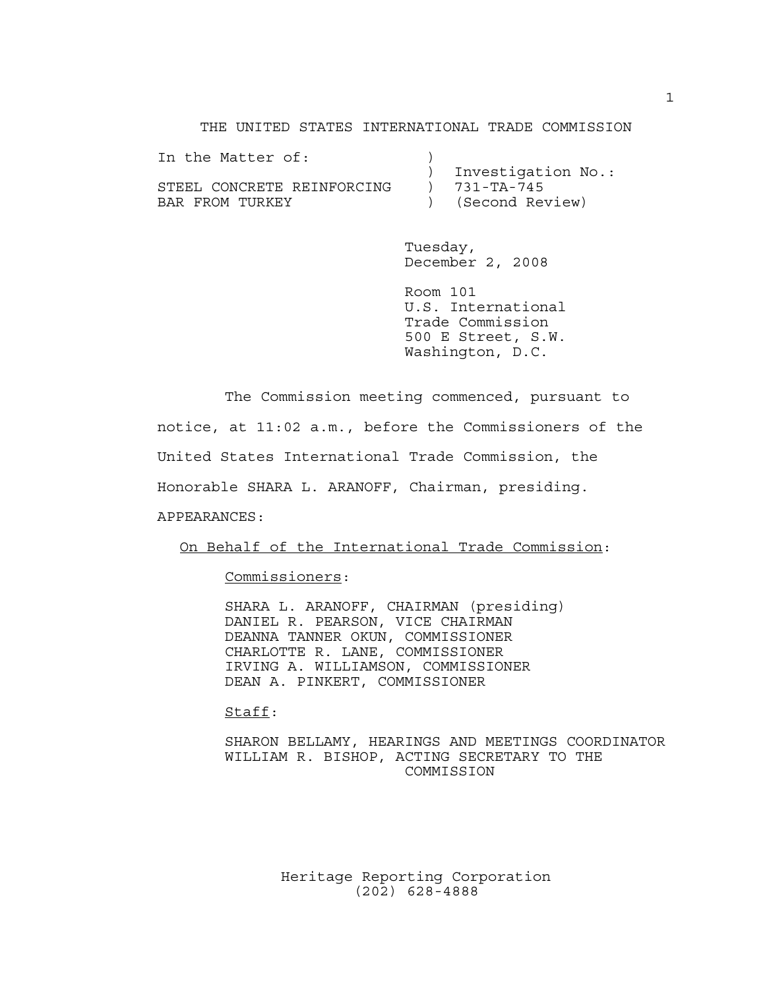THE UNITED STATES INTERNATIONAL TRADE COMMISSION

| In the Matter of:          |                    |
|----------------------------|--------------------|
|                            | Investigation No.: |
| STEEL CONCRETE REINFORCING | 731-TA-745         |
| BAR FROM TURKEY            | (Second Review)    |

Tuesday, December 2, 2008

Room 101 U.S. International Trade Commission 500 E Street, S.W. Washington, D.C.

The Commission meeting commenced, pursuant to notice, at 11:02 a.m., before the Commissioners of the United States International Trade Commission, the Honorable SHARA L. ARANOFF, Chairman, presiding. APPEARANCES:

On Behalf of the International Trade Commission:

Commissioners:

SHARA L. ARANOFF, CHAIRMAN (presiding) DANIEL R. PEARSON, VICE CHAIRMAN DEANNA TANNER OKUN, COMMISSIONER CHARLOTTE R. LANE, COMMISSIONER IRVING A. WILLIAMSON, COMMISSIONER DEAN A. PINKERT, COMMISSIONER

Staff:

SHARON BELLAMY, HEARINGS AND MEETINGS COORDINATOR WILLIAM R. BISHOP, ACTING SECRETARY TO THE COMMISSION

> Heritage Reporting Corporation (202) 628-4888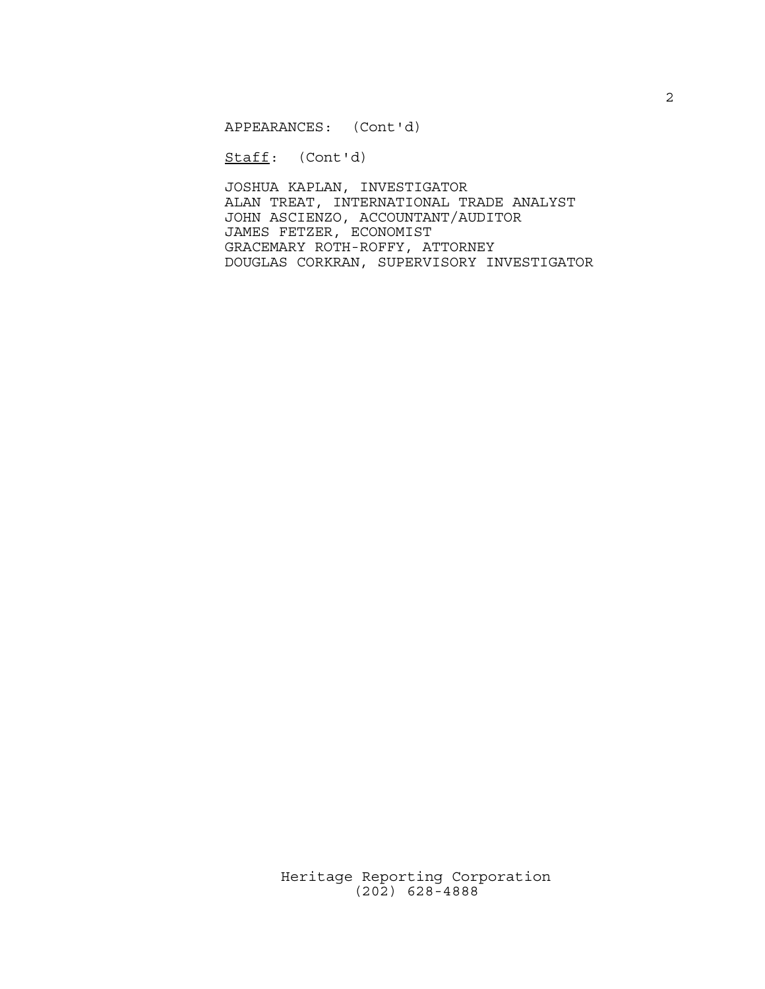APPEARANCES: (Cont'd)

Staff: (Cont'd)

JOSHUA KAPLAN, INVESTIGATOR ALAN TREAT, INTERNATIONAL TRADE ANALYST JOHN ASCIENZO, ACCOUNTANT/AUDITOR JAMES FETZER, ECONOMIST GRACEMARY ROTH-ROFFY, ATTORNEY DOUGLAS CORKRAN, SUPERVISORY INVESTIGATOR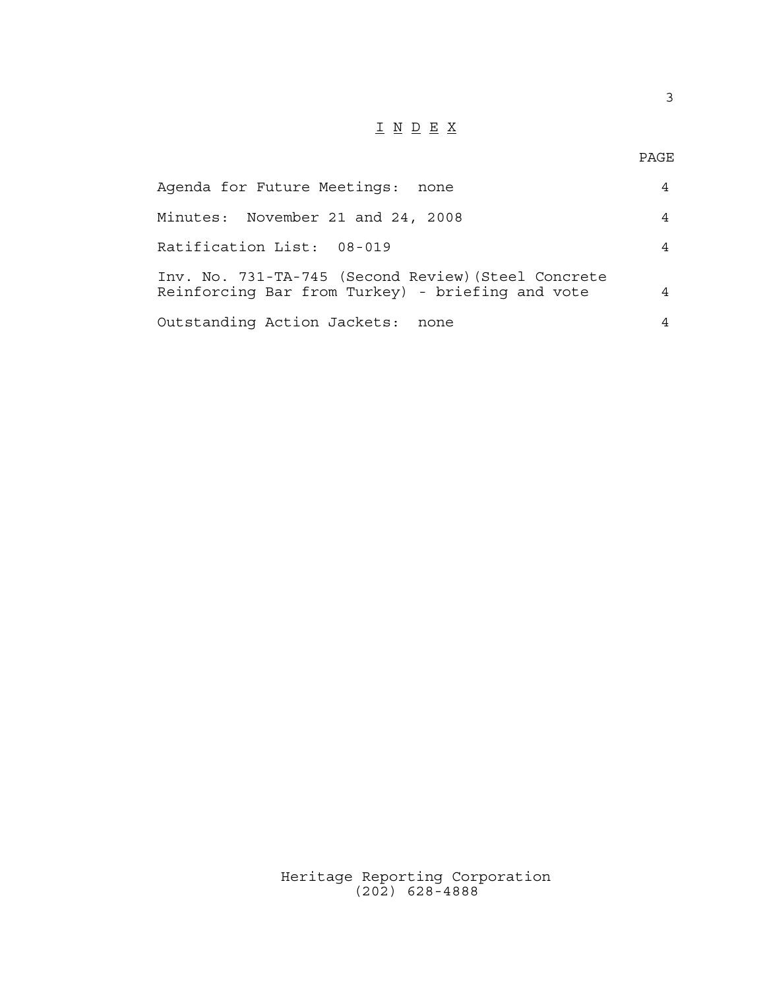## $\underline{\texttt{I}} \underline{\texttt{N}} \underline{\texttt{D}} \underline{\texttt{E}} \underline{\texttt{X}}$

3

| Agenda for Future Meetings:<br>none                                                                     | $\overline{4}$ |
|---------------------------------------------------------------------------------------------------------|----------------|
| Minutes: November 21 and 24, 2008                                                                       | $\overline{4}$ |
| Ratification List: 08-019                                                                               | 4              |
| Inv. No. 731-TA-745 (Second Review) (Steel Concrete<br>Reinforcing Bar from Turkey) - briefing and vote | 4              |
| Outstanding Action Jackets:<br>none                                                                     | 4              |

Heritage Reporting Corporation (202) 628-4888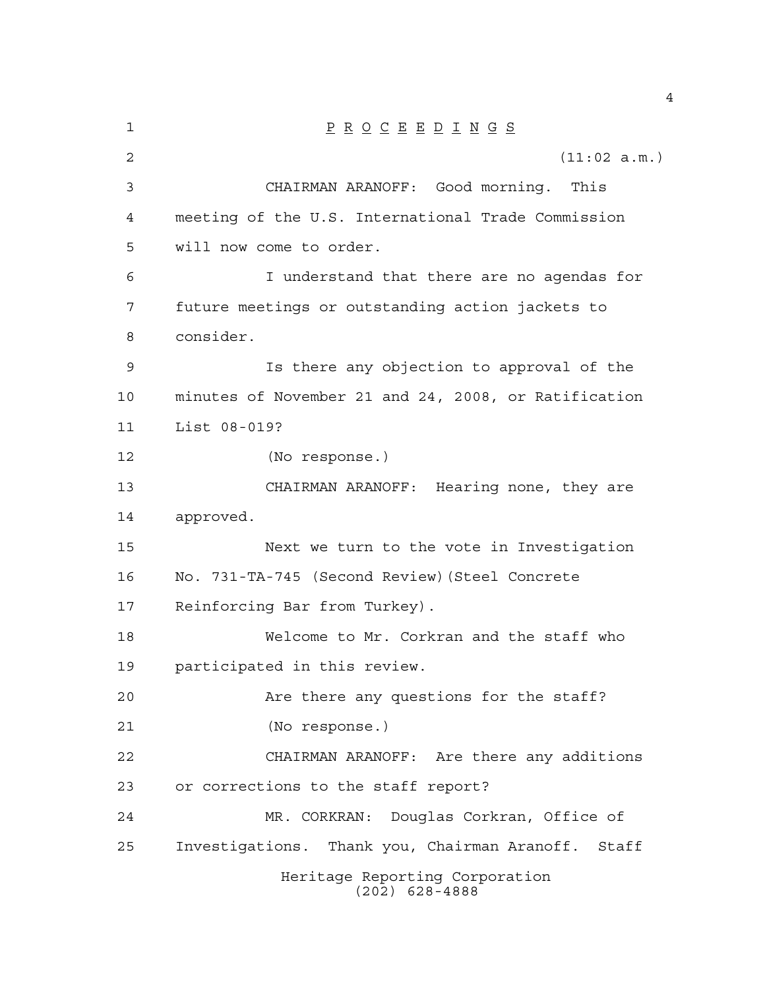| 1  | $\underline{P} \underline{R} \underline{O} \underline{C} \underline{E} \underline{E} \underline{D} \underline{I} \underline{N} \underline{G} \underline{S}$ |  |  |  |
|----|-------------------------------------------------------------------------------------------------------------------------------------------------------------|--|--|--|
| 2  | (11:02 a.m.)                                                                                                                                                |  |  |  |
| 3  | CHAIRMAN ARANOFF: Good morning. This                                                                                                                        |  |  |  |
| 4  | meeting of the U.S. International Trade Commission                                                                                                          |  |  |  |
| 5  | will now come to order.                                                                                                                                     |  |  |  |
| 6  | I understand that there are no agendas for                                                                                                                  |  |  |  |
| 7  | future meetings or outstanding action jackets to                                                                                                            |  |  |  |
| 8  | consider.                                                                                                                                                   |  |  |  |
| 9  | Is there any objection to approval of the                                                                                                                   |  |  |  |
| 10 | minutes of November 21 and 24, 2008, or Ratification                                                                                                        |  |  |  |
| 11 | List 08-019?                                                                                                                                                |  |  |  |
| 12 | (No response.)                                                                                                                                              |  |  |  |
| 13 | CHAIRMAN ARANOFF: Hearing none, they are                                                                                                                    |  |  |  |
| 14 | approved.                                                                                                                                                   |  |  |  |
| 15 | Next we turn to the vote in Investigation                                                                                                                   |  |  |  |
| 16 | No. 731-TA-745 (Second Review) (Steel Concrete                                                                                                              |  |  |  |
| 17 | Reinforcing Bar from Turkey).                                                                                                                               |  |  |  |
| 18 | Welcome to Mr. Corkran and the staff who                                                                                                                    |  |  |  |
| 19 | participated in this review.                                                                                                                                |  |  |  |
| 20 | Are there any questions for the staff?                                                                                                                      |  |  |  |
| 21 | (No response.)                                                                                                                                              |  |  |  |
| 22 | CHAIRMAN ARANOFF: Are there any additions                                                                                                                   |  |  |  |
| 23 | or corrections to the staff report?                                                                                                                         |  |  |  |
| 24 | MR. CORKRAN: Douglas Corkran, Office of                                                                                                                     |  |  |  |
| 25 | Investigations. Thank you, Chairman Aranoff. Staff                                                                                                          |  |  |  |
|    | Heritage Reporting Corporation<br>$(202)$ 628-4888                                                                                                          |  |  |  |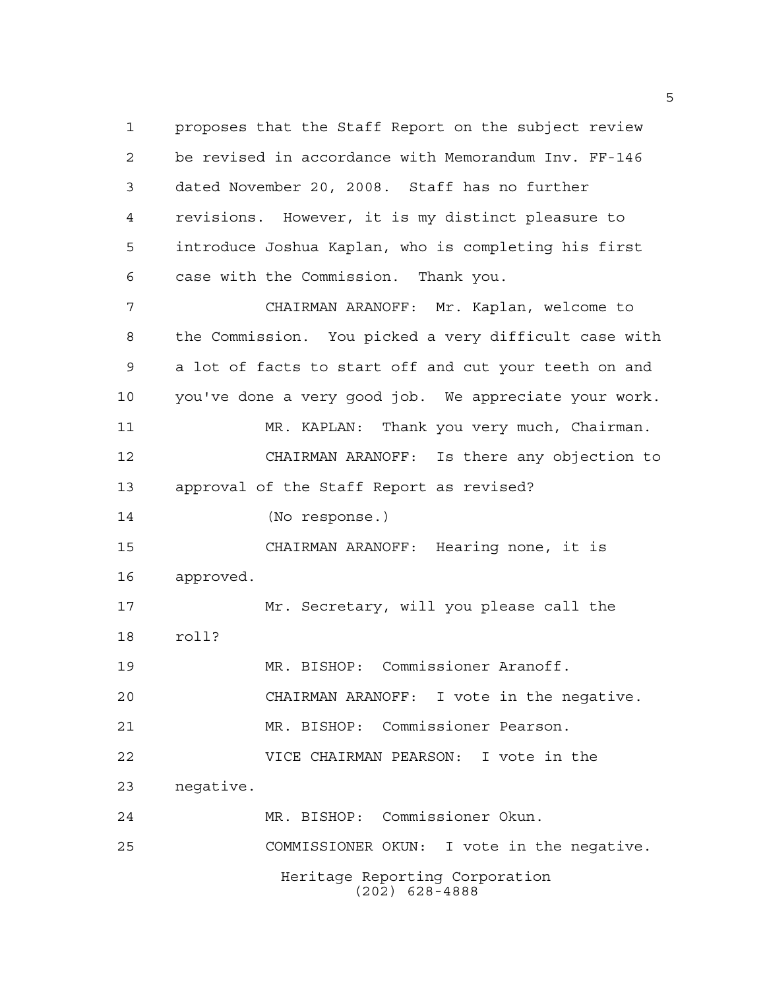Heritage Reporting Corporation (202) 628-4888 proposes that the Staff Report on the subject review be revised in accordance with Memorandum Inv. FF-146 dated November 20, 2008. Staff has no further revisions. However, it is my distinct pleasure to introduce Joshua Kaplan, who is completing his first case with the Commission. Thank you. CHAIRMAN ARANOFF: Mr. Kaplan, welcome to the Commission. You picked a very difficult case with a lot of facts to start off and cut your teeth on and you've done a very good job. We appreciate your work. MR. KAPLAN: Thank you very much, Chairman. CHAIRMAN ARANOFF: Is there any objection to approval of the Staff Report as revised? (No response.) CHAIRMAN ARANOFF: Hearing none, it is approved. Mr. Secretary, will you please call the roll? MR. BISHOP: Commissioner Aranoff. CHAIRMAN ARANOFF: I vote in the negative. MR. BISHOP: Commissioner Pearson. VICE CHAIRMAN PEARSON: I vote in the negative. MR. BISHOP: Commissioner Okun. COMMISSIONER OKUN: I vote in the negative.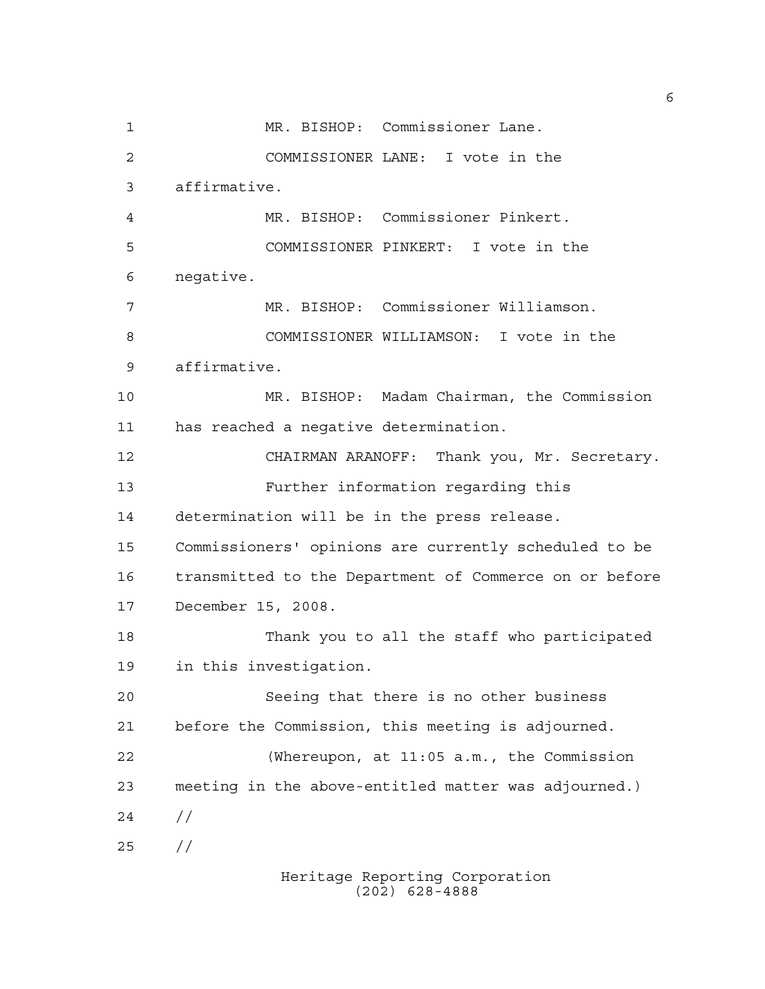MR. BISHOP: Commissioner Lane. COMMISSIONER LANE: I vote in the affirmative. MR. BISHOP: Commissioner Pinkert. COMMISSIONER PINKERT: I vote in the negative. MR. BISHOP: Commissioner Williamson. COMMISSIONER WILLIAMSON: I vote in the affirmative. MR. BISHOP: Madam Chairman, the Commission has reached a negative determination. CHAIRMAN ARANOFF: Thank you, Mr. Secretary. Further information regarding this determination will be in the press release. Commissioners' opinions are currently scheduled to be transmitted to the Department of Commerce on or before December 15, 2008. Thank you to all the staff who participated in this investigation. Seeing that there is no other business before the Commission, this meeting is adjourned. (Whereupon, at 11:05 a.m., the Commission meeting in the above-entitled matter was adjourned.)  $24 /$ //

Heritage Reporting Corporation (202) 628-4888